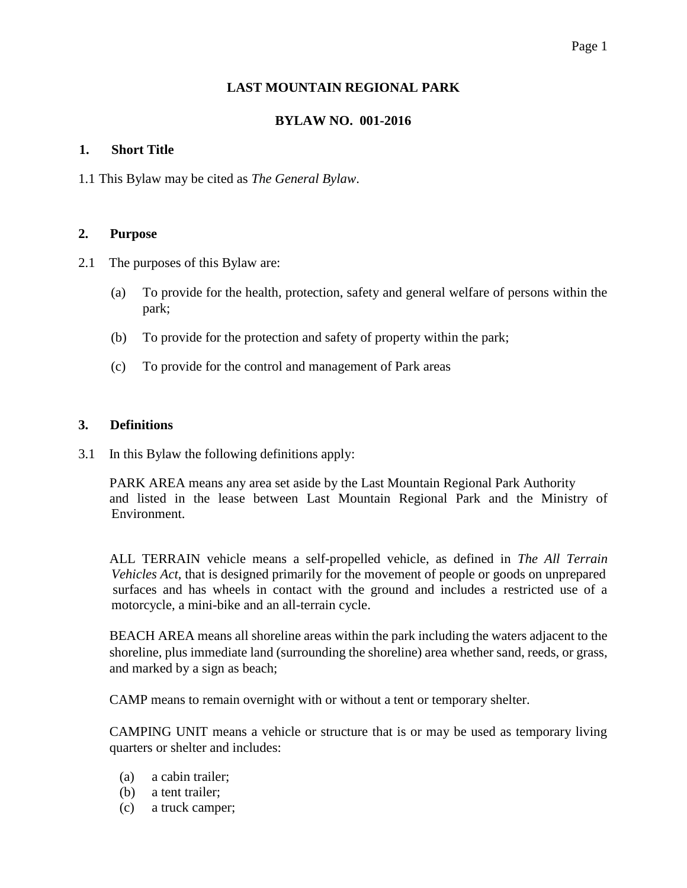#### Page 1

### **LAST MOUNTAIN REGIONAL PARK**

### **BYLAW NO. 001-2016**

#### **1. Short Title**

1.1 This Bylaw may be cited as *The General Bylaw*.

#### **2. Purpose**

- 2.1 The purposes of this Bylaw are:
	- (a) To provide for the health, protection, safety and general welfare of persons within the park;
	- (b) To provide for the protection and safety of property within the park;
	- (c) To provide for the control and management of Park areas

#### **3. Definitions**

3.1 In this Bylaw the following definitions apply:

 PARK AREA means any area set aside by the Last Mountain Regional Park Authority and listed in the lease between Last Mountain Regional Park and the Ministry of Environment.

 ALL TERRAIN vehicle means a self-propelled vehicle, as defined in *The All Terrain Vehicles Act*, that is designed primarily for the movement of people or goods on unprepared surfaces and has wheels in contact with the ground and includes a restricted use of a motorcycle, a mini-bike and an all-terrain cycle.

BEACH AREA means all shoreline areas within the park including the waters adjacent to the shoreline, plus immediate land (surrounding the shoreline) area whether sand, reeds, or grass, and marked by a sign as beach;

CAMP means to remain overnight with or without a tent or temporary shelter.

CAMPING UNIT means a vehicle or structure that is or may be used as temporary living quarters or shelter and includes:

- (a) a cabin trailer;
- (b) a tent trailer;
- (c) a truck camper;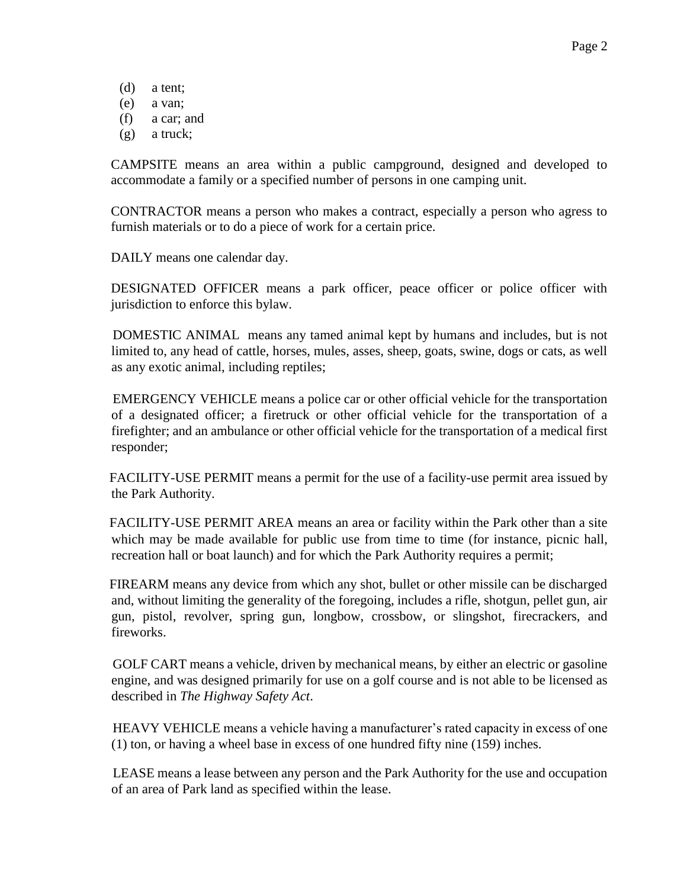- (d) a tent;
- (e) a van;
- (f) a car; and
- (g) a truck;

CAMPSITE means an area within a public campground, designed and developed to accommodate a family or a specified number of persons in one camping unit.

CONTRACTOR means a person who makes a contract, especially a person who agress to furnish materials or to do a piece of work for a certain price.

DAILY means one calendar day.

DESIGNATED OFFICER means a park officer, peace officer or police officer with jurisdiction to enforce this bylaw.

 DOMESTIC ANIMAL means any tamed animal kept by humans and includes, but is not limited to, any head of cattle, horses, mules, asses, sheep, goats, swine, dogs or cats, as well as any exotic animal, including reptiles;

 EMERGENCY VEHICLE means a police car or other official vehicle for the transportation of a designated officer; a firetruck or other official vehicle for the transportation of a firefighter; and an ambulance or other official vehicle for the transportation of a medical first responder;

 FACILITY-USE PERMIT means a permit for the use of a facility-use permit area issued by the Park Authority.

 FACILITY-USE PERMIT AREA means an area or facility within the Park other than a site which may be made available for public use from time to time (for instance, picnic hall, recreation hall or boat launch) and for which the Park Authority requires a permit;

 FIREARM means any device from which any shot, bullet or other missile can be discharged and, without limiting the generality of the foregoing, includes a rifle, shotgun, pellet gun, air gun, pistol, revolver, spring gun, longbow, crossbow, or slingshot, firecrackers, and fireworks.

 GOLF CART means a vehicle, driven by mechanical means, by either an electric or gasoline engine, and was designed primarily for use on a golf course and is not able to be licensed as described in *The Highway Safety Act*.

 HEAVY VEHICLE means a vehicle having a manufacturer's rated capacity in excess of one (1) ton, or having a wheel base in excess of one hundred fifty nine (159) inches.

 LEASE means a lease between any person and the Park Authority for the use and occupation of an area of Park land as specified within the lease.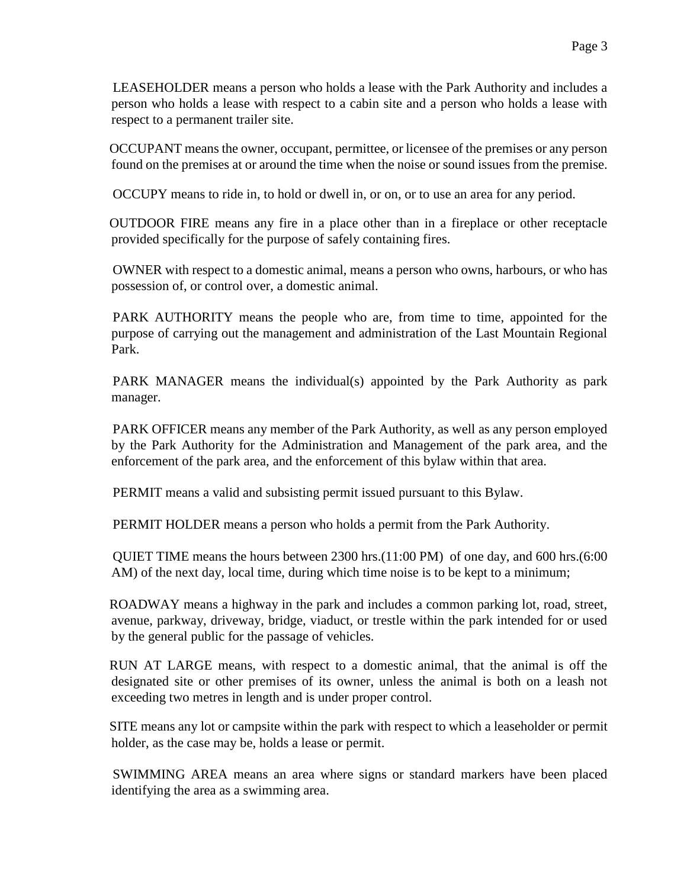LEASEHOLDER means a person who holds a lease with the Park Authority and includes a person who holds a lease with respect to a cabin site and a person who holds a lease with respect to a permanent trailer site.

 OCCUPANT means the owner, occupant, permittee, or licensee of the premises or any person found on the premises at or around the time when the noise or sound issues from the premise.

OCCUPY means to ride in, to hold or dwell in, or on, or to use an area for any period.

 OUTDOOR FIRE means any fire in a place other than in a fireplace or other receptacle provided specifically for the purpose of safely containing fires.

 OWNER with respect to a domestic animal, means a person who owns, harbours, or who has possession of, or control over, a domestic animal.

 PARK AUTHORITY means the people who are, from time to time, appointed for the purpose of carrying out the management and administration of the Last Mountain Regional Park.

 PARK MANAGER means the individual(s) appointed by the Park Authority as park manager.

 PARK OFFICER means any member of the Park Authority, as well as any person employed by the Park Authority for the Administration and Management of the park area, and the enforcement of the park area, and the enforcement of this bylaw within that area.

PERMIT means a valid and subsisting permit issued pursuant to this Bylaw.

PERMIT HOLDER means a person who holds a permit from the Park Authority.

 QUIET TIME means the hours between 2300 hrs.(11:00 PM) of one day, and 600 hrs.(6:00 AM) of the next day, local time, during which time noise is to be kept to a minimum;

 ROADWAY means a highway in the park and includes a common parking lot, road, street, avenue, parkway, driveway, bridge, viaduct, or trestle within the park intended for or used by the general public for the passage of vehicles.

 RUN AT LARGE means, with respect to a domestic animal, that the animal is off the designated site or other premises of its owner, unless the animal is both on a leash not exceeding two metres in length and is under proper control.

 SITE means any lot or campsite within the park with respect to which a leaseholder or permit holder, as the case may be, holds a lease or permit.

 SWIMMING AREA means an area where signs or standard markers have been placed identifying the area as a swimming area.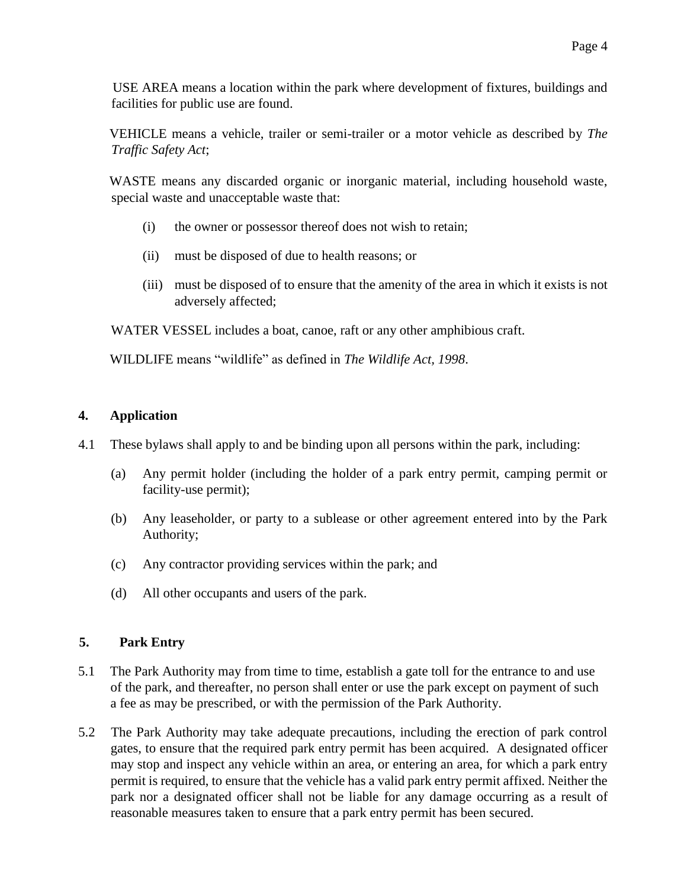USE AREA means a location within the park where development of fixtures, buildings and facilities for public use are found.

 VEHICLE means a vehicle, trailer or semi-trailer or a motor vehicle as described by *The Traffic Safety Act*;

 WASTE means any discarded organic or inorganic material, including household waste, special waste and unacceptable waste that:

- (i) the owner or possessor thereof does not wish to retain;
- (ii) must be disposed of due to health reasons; or
- (iii) must be disposed of to ensure that the amenity of the area in which it exists is not adversely affected;

WATER VESSEL includes a boat, canoe, raft or any other amphibious craft.

WILDLIFE means "wildlife" as defined in *The Wildlife Act, 1998*.

# **4. Application**

- 4.1 These bylaws shall apply to and be binding upon all persons within the park, including:
	- (a) Any permit holder (including the holder of a park entry permit, camping permit or facility-use permit);
	- (b) Any leaseholder, or party to a sublease or other agreement entered into by the Park Authority;
	- (c) Any contractor providing services within the park; and
	- (d) All other occupants and users of the park.

# **5. Park Entry**

- 5.1 The Park Authority may from time to time, establish a gate toll for the entrance to and use of the park, and thereafter, no person shall enter or use the park except on payment of such a fee as may be prescribed, or with the permission of the Park Authority.
- 5.2 The Park Authority may take adequate precautions, including the erection of park control gates, to ensure that the required park entry permit has been acquired. A designated officer may stop and inspect any vehicle within an area, or entering an area, for which a park entry permit is required, to ensure that the vehicle has a valid park entry permit affixed. Neither the park nor a designated officer shall not be liable for any damage occurring as a result of reasonable measures taken to ensure that a park entry permit has been secured.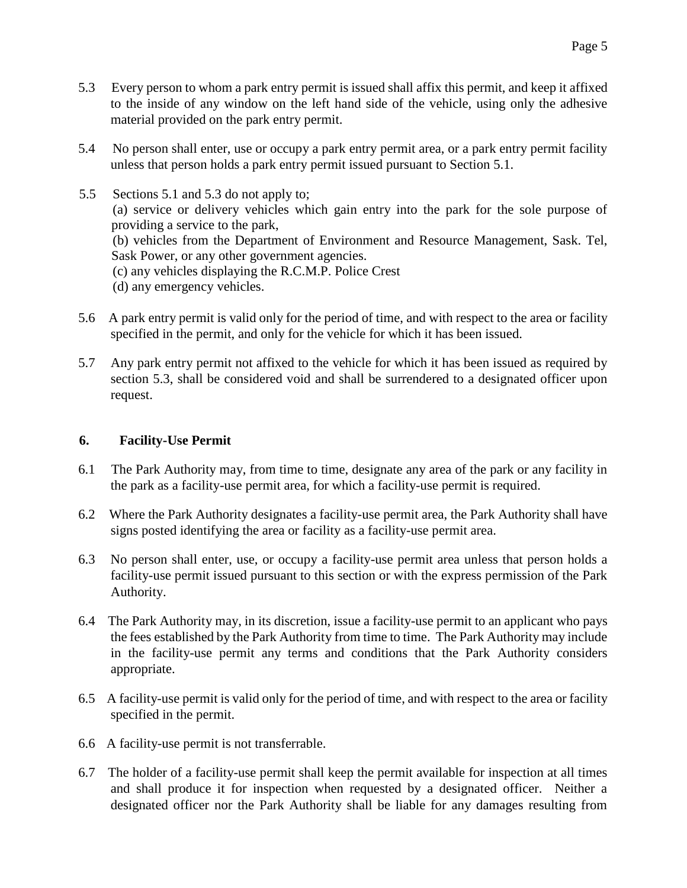- 5.3 Every person to whom a park entry permit is issued shall affix this permit, and keep it affixed to the inside of any window on the left hand side of the vehicle, using only the adhesive material provided on the park entry permit.
- 5.4 No person shall enter, use or occupy a park entry permit area, or a park entry permit facility unless that person holds a park entry permit issued pursuant to Section 5.1.
- 5.5 Sections 5.1 and 5.3 do not apply to; (a) service or delivery vehicles which gain entry into the park for the sole purpose of providing a service to the park, (b) vehicles from the Department of Environment and Resource Management, Sask. Tel, Sask Power, or any other government agencies. (c) any vehicles displaying the R.C.M.P. Police Crest (d) any emergency vehicles.
- 5.6 A park entry permit is valid only for the period of time, and with respect to the area or facility specified in the permit, and only for the vehicle for which it has been issued.
- 5.7 Any park entry permit not affixed to the vehicle for which it has been issued as required by section 5.3, shall be considered void and shall be surrendered to a designated officer upon request.

# **6. Facility-Use Permit**

- 6.1 The Park Authority may, from time to time, designate any area of the park or any facility in the park as a facility-use permit area, for which a facility-use permit is required.
- 6.2 Where the Park Authority designates a facility-use permit area, the Park Authority shall have signs posted identifying the area or facility as a facility-use permit area.
- 6.3 No person shall enter, use, or occupy a facility-use permit area unless that person holds a facility-use permit issued pursuant to this section or with the express permission of the Park Authority.
- 6.4 The Park Authority may, in its discretion, issue a facility-use permit to an applicant who pays the fees established by the Park Authority from time to time. The Park Authority may include in the facility-use permit any terms and conditions that the Park Authority considers appropriate.
- 6.5 A facility-use permit is valid only for the period of time, and with respect to the area or facility specified in the permit.
- 6.6 A facility-use permit is not transferrable.
- 6.7 The holder of a facility-use permit shall keep the permit available for inspection at all times and shall produce it for inspection when requested by a designated officer. Neither a designated officer nor the Park Authority shall be liable for any damages resulting from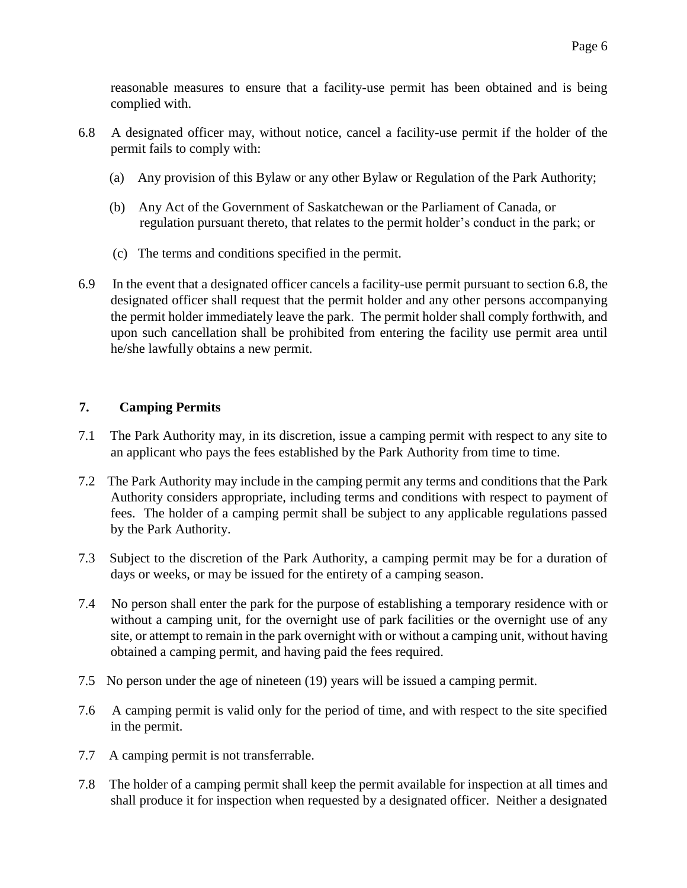reasonable measures to ensure that a facility-use permit has been obtained and is being complied with.

- 6.8 A designated officer may, without notice, cancel a facility-use permit if the holder of the permit fails to comply with:
	- (a) Any provision of this Bylaw or any other Bylaw or Regulation of the Park Authority;
	- (b) Any Act of the Government of Saskatchewan or the Parliament of Canada, or regulation pursuant thereto, that relates to the permit holder's conduct in the park; or
	- (c) The terms and conditions specified in the permit.
- 6.9 In the event that a designated officer cancels a facility-use permit pursuant to section 6.8, the designated officer shall request that the permit holder and any other persons accompanying the permit holder immediately leave the park. The permit holder shall comply forthwith, and upon such cancellation shall be prohibited from entering the facility use permit area until he/she lawfully obtains a new permit.

# **7. Camping Permits**

- 7.1 The Park Authority may, in its discretion, issue a camping permit with respect to any site to an applicant who pays the fees established by the Park Authority from time to time.
- 7.2 The Park Authority may include in the camping permit any terms and conditions that the Park Authority considers appropriate, including terms and conditions with respect to payment of fees. The holder of a camping permit shall be subject to any applicable regulations passed by the Park Authority.
- 7.3 Subject to the discretion of the Park Authority, a camping permit may be for a duration of days or weeks, or may be issued for the entirety of a camping season.
- 7.4 No person shall enter the park for the purpose of establishing a temporary residence with or without a camping unit, for the overnight use of park facilities or the overnight use of any site, or attempt to remain in the park overnight with or without a camping unit, without having obtained a camping permit, and having paid the fees required.
- 7.5 No person under the age of nineteen (19) years will be issued a camping permit.
- 7.6 A camping permit is valid only for the period of time, and with respect to the site specified in the permit.
- 7.7 A camping permit is not transferrable.
- 7.8 The holder of a camping permit shall keep the permit available for inspection at all times and shall produce it for inspection when requested by a designated officer. Neither a designated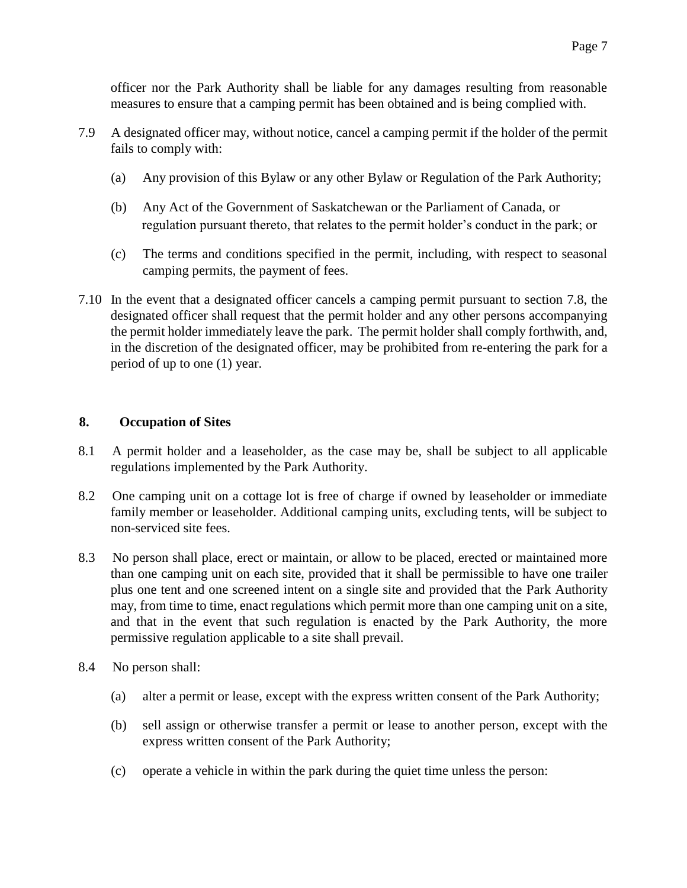officer nor the Park Authority shall be liable for any damages resulting from reasonable measures to ensure that a camping permit has been obtained and is being complied with.

- 7.9 A designated officer may, without notice, cancel a camping permit if the holder of the permit fails to comply with:
	- (a) Any provision of this Bylaw or any other Bylaw or Regulation of the Park Authority;
	- (b) Any Act of the Government of Saskatchewan or the Parliament of Canada, or regulation pursuant thereto, that relates to the permit holder's conduct in the park; or
	- (c) The terms and conditions specified in the permit, including, with respect to seasonal camping permits, the payment of fees.
- 7.10 In the event that a designated officer cancels a camping permit pursuant to section 7.8, the designated officer shall request that the permit holder and any other persons accompanying the permit holder immediately leave the park. The permit holder shall comply forthwith, and, in the discretion of the designated officer, may be prohibited from re-entering the park for a period of up to one (1) year.

# **8. Occupation of Sites**

- 8.1 A permit holder and a leaseholder, as the case may be, shall be subject to all applicable regulations implemented by the Park Authority.
- 8.2 One camping unit on a cottage lot is free of charge if owned by leaseholder or immediate family member or leaseholder. Additional camping units, excluding tents, will be subject to non-serviced site fees.
- 8.3 No person shall place, erect or maintain, or allow to be placed, erected or maintained more than one camping unit on each site, provided that it shall be permissible to have one trailer plus one tent and one screened intent on a single site and provided that the Park Authority may, from time to time, enact regulations which permit more than one camping unit on a site, and that in the event that such regulation is enacted by the Park Authority, the more permissive regulation applicable to a site shall prevail.
- 8.4 No person shall:
	- (a) alter a permit or lease, except with the express written consent of the Park Authority;
	- (b) sell assign or otherwise transfer a permit or lease to another person, except with the express written consent of the Park Authority;
	- (c) operate a vehicle in within the park during the quiet time unless the person: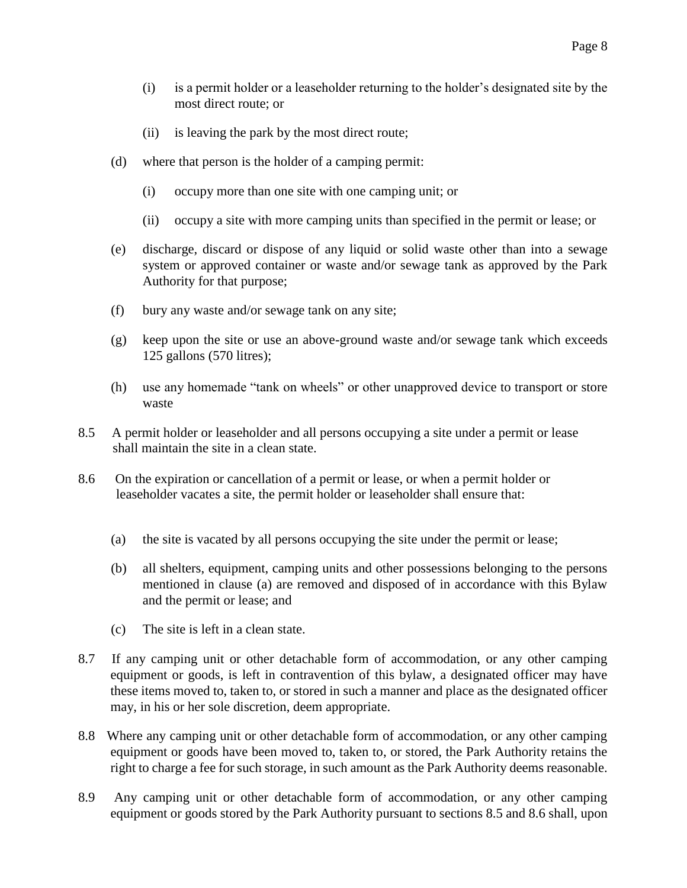- (i) is a permit holder or a leaseholder returning to the holder's designated site by the most direct route; or
- (ii) is leaving the park by the most direct route;
- (d) where that person is the holder of a camping permit:
	- (i) occupy more than one site with one camping unit; or
	- (ii) occupy a site with more camping units than specified in the permit or lease; or
- (e) discharge, discard or dispose of any liquid or solid waste other than into a sewage system or approved container or waste and/or sewage tank as approved by the Park Authority for that purpose;
- (f) bury any waste and/or sewage tank on any site;
- (g) keep upon the site or use an above-ground waste and/or sewage tank which exceeds 125 gallons (570 litres);
- (h) use any homemade "tank on wheels" or other unapproved device to transport or store waste
- 8.5 A permit holder or leaseholder and all persons occupying a site under a permit or lease shall maintain the site in a clean state.
- 8.6 On the expiration or cancellation of a permit or lease, or when a permit holder or leaseholder vacates a site, the permit holder or leaseholder shall ensure that:
	- (a) the site is vacated by all persons occupying the site under the permit or lease;
	- (b) all shelters, equipment, camping units and other possessions belonging to the persons mentioned in clause (a) are removed and disposed of in accordance with this Bylaw and the permit or lease; and
	- (c) The site is left in a clean state.
- 8.7 If any camping unit or other detachable form of accommodation, or any other camping equipment or goods, is left in contravention of this bylaw, a designated officer may have these items moved to, taken to, or stored in such a manner and place as the designated officer may, in his or her sole discretion, deem appropriate.
- 8.8 Where any camping unit or other detachable form of accommodation, or any other camping equipment or goods have been moved to, taken to, or stored, the Park Authority retains the right to charge a fee for such storage, in such amount as the Park Authority deems reasonable.
- 8.9 Any camping unit or other detachable form of accommodation, or any other camping equipment or goods stored by the Park Authority pursuant to sections 8.5 and 8.6 shall, upon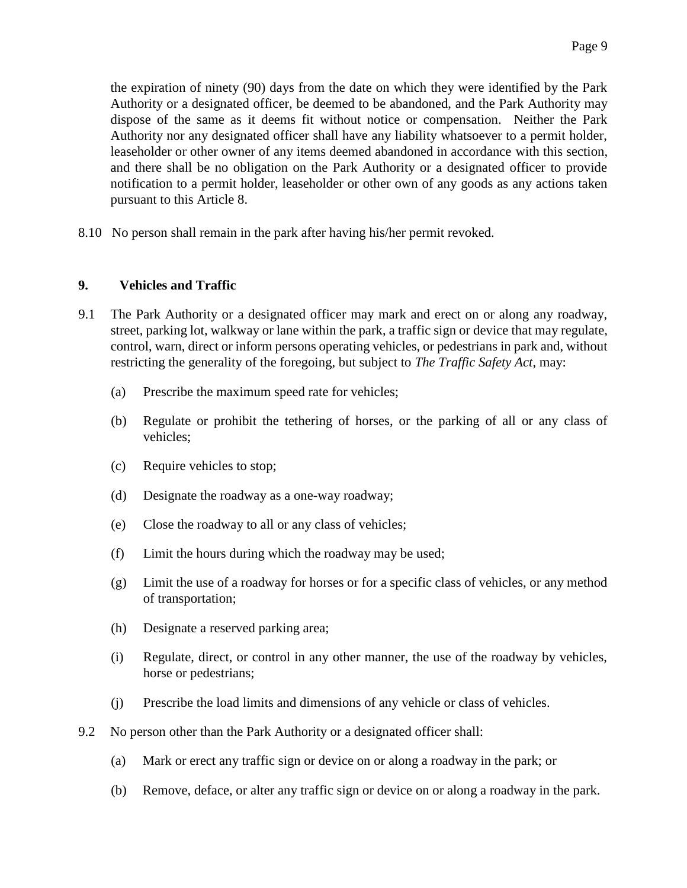the expiration of ninety (90) days from the date on which they were identified by the Park Authority or a designated officer, be deemed to be abandoned, and the Park Authority may dispose of the same as it deems fit without notice or compensation. Neither the Park Authority nor any designated officer shall have any liability whatsoever to a permit holder, leaseholder or other owner of any items deemed abandoned in accordance with this section, and there shall be no obligation on the Park Authority or a designated officer to provide notification to a permit holder, leaseholder or other own of any goods as any actions taken pursuant to this Article 8.

8.10 No person shall remain in the park after having his/her permit revoked.

#### **9. Vehicles and Traffic**

- 9.1 The Park Authority or a designated officer may mark and erect on or along any roadway, street, parking lot, walkway or lane within the park, a traffic sign or device that may regulate, control, warn, direct or inform persons operating vehicles, or pedestrians in park and, without restricting the generality of the foregoing, but subject to *The Traffic Safety Act*, may:
	- (a) Prescribe the maximum speed rate for vehicles;
	- (b) Regulate or prohibit the tethering of horses, or the parking of all or any class of vehicles;
	- (c) Require vehicles to stop;
	- (d) Designate the roadway as a one-way roadway;
	- (e) Close the roadway to all or any class of vehicles;
	- (f) Limit the hours during which the roadway may be used;
	- (g) Limit the use of a roadway for horses or for a specific class of vehicles, or any method of transportation;
	- (h) Designate a reserved parking area;
	- (i) Regulate, direct, or control in any other manner, the use of the roadway by vehicles, horse or pedestrians;
	- (j) Prescribe the load limits and dimensions of any vehicle or class of vehicles.
- 9.2 No person other than the Park Authority or a designated officer shall:
	- (a) Mark or erect any traffic sign or device on or along a roadway in the park; or
	- (b) Remove, deface, or alter any traffic sign or device on or along a roadway in the park.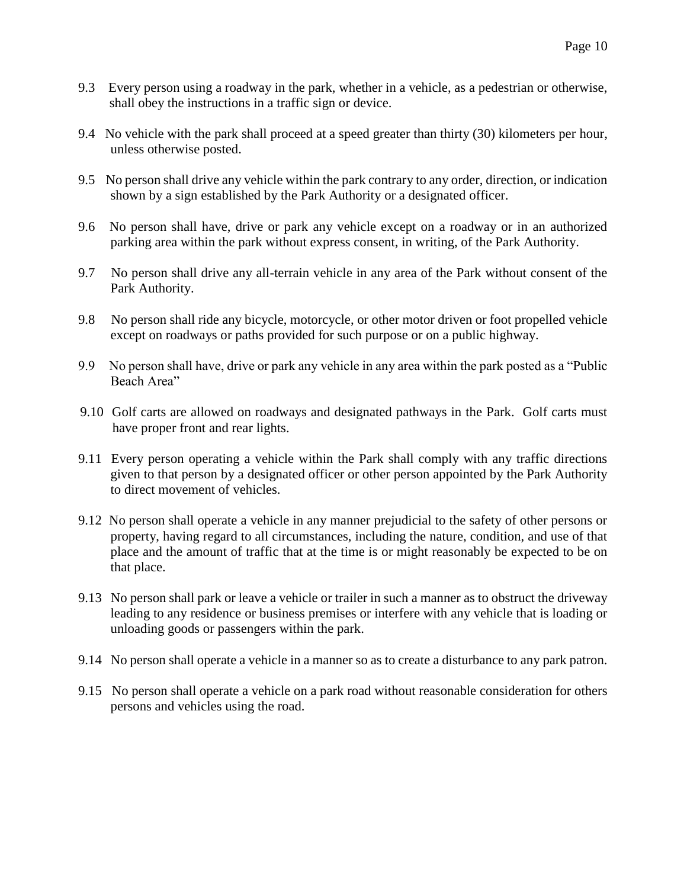- 9.3 Every person using a roadway in the park, whether in a vehicle, as a pedestrian or otherwise, shall obey the instructions in a traffic sign or device.
- 9.4 No vehicle with the park shall proceed at a speed greater than thirty (30) kilometers per hour, unless otherwise posted.
- 9.5 No person shall drive any vehicle within the park contrary to any order, direction, or indication shown by a sign established by the Park Authority or a designated officer.
- 9.6 No person shall have, drive or park any vehicle except on a roadway or in an authorized parking area within the park without express consent, in writing, of the Park Authority.
- 9.7 No person shall drive any all-terrain vehicle in any area of the Park without consent of the Park Authority.
- 9.8 No person shall ride any bicycle, motorcycle, or other motor driven or foot propelled vehicle except on roadways or paths provided for such purpose or on a public highway.
- 9.9 No person shall have, drive or park any vehicle in any area within the park posted as a "Public Beach Area"
- 9.10 Golf carts are allowed on roadways and designated pathways in the Park. Golf carts must have proper front and rear lights.
- 9.11 Every person operating a vehicle within the Park shall comply with any traffic directions given to that person by a designated officer or other person appointed by the Park Authority to direct movement of vehicles.
- 9.12 No person shall operate a vehicle in any manner prejudicial to the safety of other persons or property, having regard to all circumstances, including the nature, condition, and use of that place and the amount of traffic that at the time is or might reasonably be expected to be on that place.
- 9.13 No person shall park or leave a vehicle or trailer in such a manner as to obstruct the driveway leading to any residence or business premises or interfere with any vehicle that is loading or unloading goods or passengers within the park.
- 9.14 No person shall operate a vehicle in a manner so as to create a disturbance to any park patron.
- 9.15 No person shall operate a vehicle on a park road without reasonable consideration for others persons and vehicles using the road.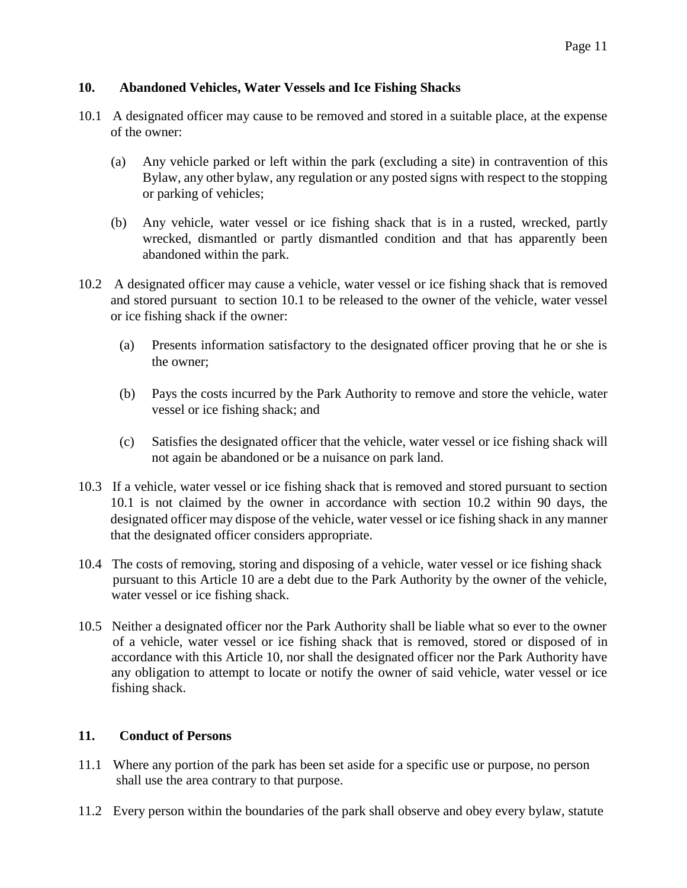### **10. Abandoned Vehicles, Water Vessels and Ice Fishing Shacks**

- 10.1 A designated officer may cause to be removed and stored in a suitable place, at the expense of the owner:
	- (a) Any vehicle parked or left within the park (excluding a site) in contravention of this Bylaw, any other bylaw, any regulation or any posted signs with respect to the stopping or parking of vehicles;
	- (b) Any vehicle, water vessel or ice fishing shack that is in a rusted, wrecked, partly wrecked, dismantled or partly dismantled condition and that has apparently been abandoned within the park.
- 10.2 A designated officer may cause a vehicle, water vessel or ice fishing shack that is removed and stored pursuant to section 10.1 to be released to the owner of the vehicle, water vessel or ice fishing shack if the owner:
	- (a) Presents information satisfactory to the designated officer proving that he or she is the owner;
	- (b) Pays the costs incurred by the Park Authority to remove and store the vehicle, water vessel or ice fishing shack; and
	- (c) Satisfies the designated officer that the vehicle, water vessel or ice fishing shack will not again be abandoned or be a nuisance on park land.
- 10.3 If a vehicle, water vessel or ice fishing shack that is removed and stored pursuant to section 10.1 is not claimed by the owner in accordance with section 10.2 within 90 days, the designated officer may dispose of the vehicle, water vessel or ice fishing shack in any manner that the designated officer considers appropriate.
- 10.4 The costs of removing, storing and disposing of a vehicle, water vessel or ice fishing shack pursuant to this Article 10 are a debt due to the Park Authority by the owner of the vehicle, water vessel or ice fishing shack.
- 10.5 Neither a designated officer nor the Park Authority shall be liable what so ever to the owner of a vehicle, water vessel or ice fishing shack that is removed, stored or disposed of in accordance with this Article 10, nor shall the designated officer nor the Park Authority have any obligation to attempt to locate or notify the owner of said vehicle, water vessel or ice fishing shack.

### **11. Conduct of Persons**

- 11.1 Where any portion of the park has been set aside for a specific use or purpose, no person shall use the area contrary to that purpose.
- 11.2 Every person within the boundaries of the park shall observe and obey every bylaw, statute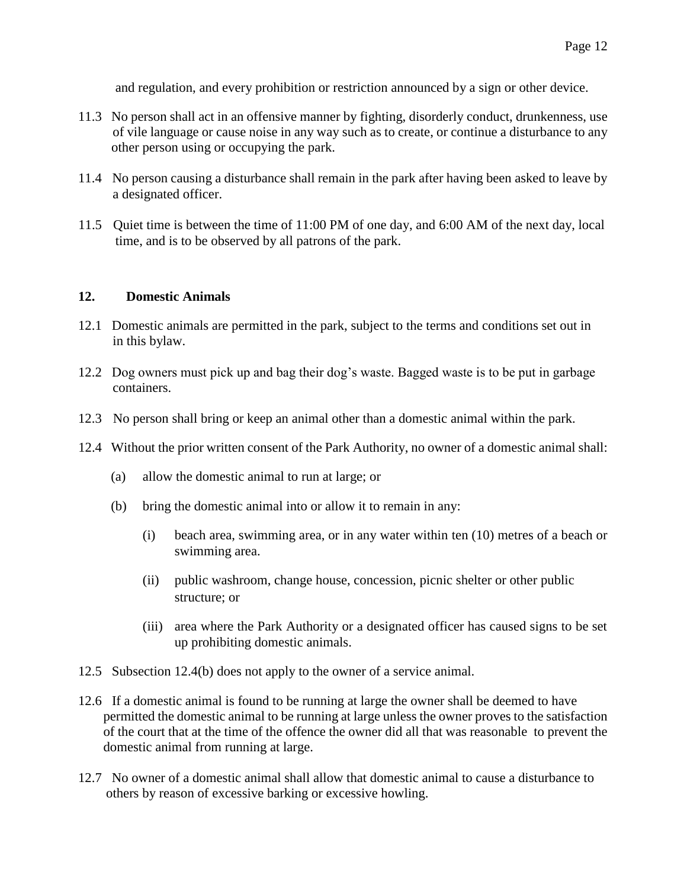and regulation, and every prohibition or restriction announced by a sign or other device.

- 11.3 No person shall act in an offensive manner by fighting, disorderly conduct, drunkenness, use of vile language or cause noise in any way such as to create, or continue a disturbance to any other person using or occupying the park.
- 11.4 No person causing a disturbance shall remain in the park after having been asked to leave by a designated officer.
- 11.5 Quiet time is between the time of 11:00 PM of one day, and 6:00 AM of the next day, local time, and is to be observed by all patrons of the park.

### **12. Domestic Animals**

- 12.1 Domestic animals are permitted in the park, subject to the terms and conditions set out in in this bylaw.
- 12.2 Dog owners must pick up and bag their dog's waste. Bagged waste is to be put in garbage containers.
- 12.3 No person shall bring or keep an animal other than a domestic animal within the park.
- 12.4 Without the prior written consent of the Park Authority, no owner of a domestic animal shall:
	- (a) allow the domestic animal to run at large; or
	- (b) bring the domestic animal into or allow it to remain in any:
		- (i) beach area, swimming area, or in any water within ten (10) metres of a beach or swimming area.
		- (ii) public washroom, change house, concession, picnic shelter or other public structure; or
		- (iii) area where the Park Authority or a designated officer has caused signs to be set up prohibiting domestic animals.
- 12.5 Subsection 12.4(b) does not apply to the owner of a service animal.
- 12.6 If a domestic animal is found to be running at large the owner shall be deemed to have permitted the domestic animal to be running at large unless the owner proves to the satisfaction of the court that at the time of the offence the owner did all that was reasonable to prevent the domestic animal from running at large.
- 12.7 No owner of a domestic animal shall allow that domestic animal to cause a disturbance to others by reason of excessive barking or excessive howling.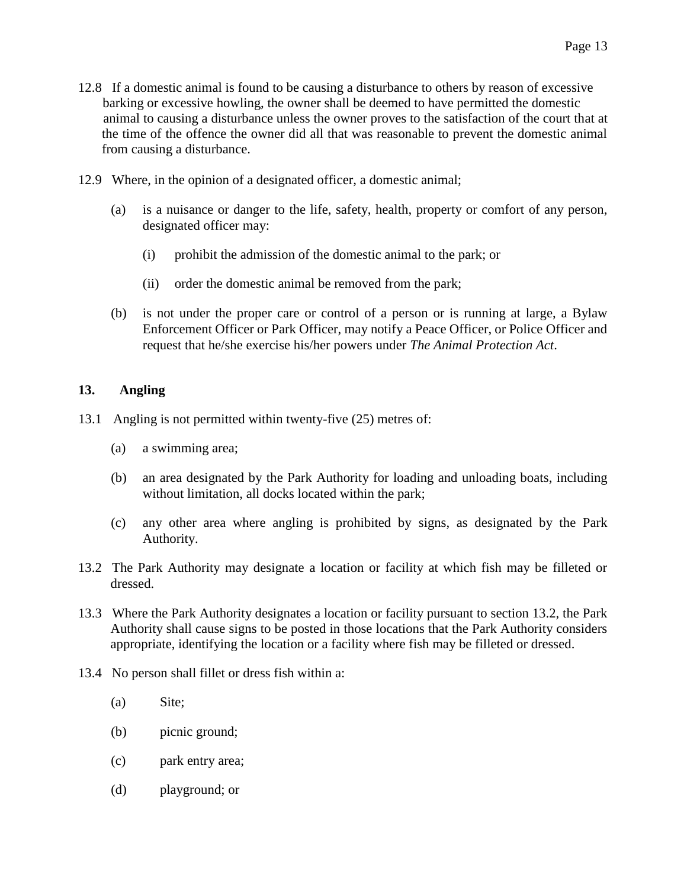- 12.8 If a domestic animal is found to be causing a disturbance to others by reason of excessive barking or excessive howling, the owner shall be deemed to have permitted the domestic animal to causing a disturbance unless the owner proves to the satisfaction of the court that at the time of the offence the owner did all that was reasonable to prevent the domestic animal from causing a disturbance.
- 12.9 Where, in the opinion of a designated officer, a domestic animal;
	- (a) is a nuisance or danger to the life, safety, health, property or comfort of any person, designated officer may:
		- (i) prohibit the admission of the domestic animal to the park; or
		- (ii) order the domestic animal be removed from the park;
	- (b) is not under the proper care or control of a person or is running at large, a Bylaw Enforcement Officer or Park Officer, may notify a Peace Officer, or Police Officer and request that he/she exercise his/her powers under *The Animal Protection Act*.

#### **13. Angling**

- 13.1 Angling is not permitted within twenty-five (25) metres of:
	- (a) a swimming area;
	- (b) an area designated by the Park Authority for loading and unloading boats, including without limitation, all docks located within the park;
	- (c) any other area where angling is prohibited by signs, as designated by the Park Authority.
- 13.2 The Park Authority may designate a location or facility at which fish may be filleted or dressed.
- 13.3 Where the Park Authority designates a location or facility pursuant to section 13.2, the Park Authority shall cause signs to be posted in those locations that the Park Authority considers appropriate, identifying the location or a facility where fish may be filleted or dressed.
- 13.4 No person shall fillet or dress fish within a:
	- (a) Site;
	- (b) picnic ground;
	- (c) park entry area;
	- (d) playground; or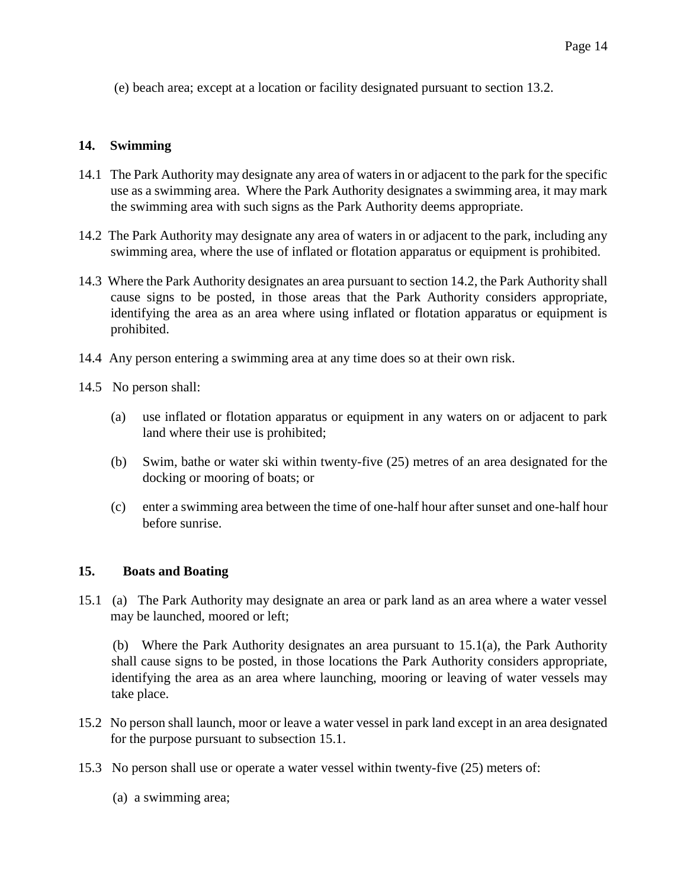(e) beach area; except at a location or facility designated pursuant to section 13.2.

### **14. Swimming**

- 14.1 The Park Authority may designate any area of waters in or adjacent to the park for the specific use as a swimming area. Where the Park Authority designates a swimming area, it may mark the swimming area with such signs as the Park Authority deems appropriate.
- 14.2 The Park Authority may designate any area of waters in or adjacent to the park, including any swimming area, where the use of inflated or flotation apparatus or equipment is prohibited.
- 14.3 Where the Park Authority designates an area pursuant to section 14.2, the Park Authority shall cause signs to be posted, in those areas that the Park Authority considers appropriate, identifying the area as an area where using inflated or flotation apparatus or equipment is prohibited.
- 14.4 Any person entering a swimming area at any time does so at their own risk.
- 14.5 No person shall:
	- (a) use inflated or flotation apparatus or equipment in any waters on or adjacent to park land where their use is prohibited;
	- (b) Swim, bathe or water ski within twenty-five (25) metres of an area designated for the docking or mooring of boats; or
	- (c) enter a swimming area between the time of one-half hour after sunset and one-half hour before sunrise.

#### **15. Boats and Boating**

15.1 (a) The Park Authority may designate an area or park land as an area where a water vessel may be launched, moored or left;

 (b) Where the Park Authority designates an area pursuant to 15.1(a), the Park Authority shall cause signs to be posted, in those locations the Park Authority considers appropriate, identifying the area as an area where launching, mooring or leaving of water vessels may take place.

- 15.2 No person shall launch, moor or leave a water vessel in park land except in an area designated for the purpose pursuant to subsection 15.1.
- 15.3 No person shall use or operate a water vessel within twenty-five (25) meters of:
	- (a) a swimming area;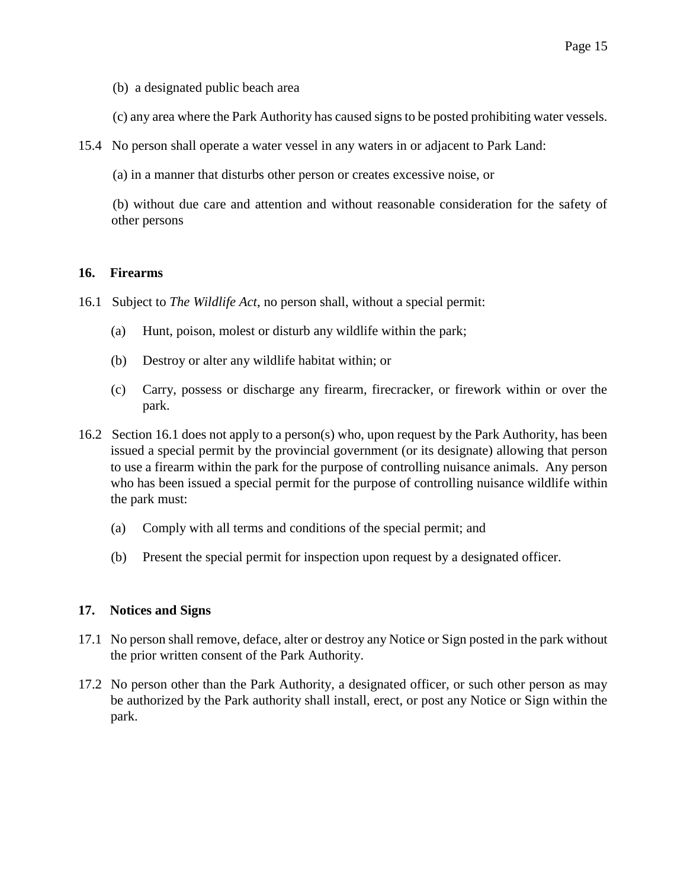(b) a designated public beach area

(c) any area where the Park Authority has caused signs to be posted prohibiting water vessels.

15.4 No person shall operate a water vessel in any waters in or adjacent to Park Land:

(a) in a manner that disturbs other person or creates excessive noise, or

 (b) without due care and attention and without reasonable consideration for the safety of other persons

#### **16. Firearms**

- 16.1 Subject to *The Wildlife Act*, no person shall, without a special permit:
	- (a) Hunt, poison, molest or disturb any wildlife within the park;
	- (b) Destroy or alter any wildlife habitat within; or
	- (c) Carry, possess or discharge any firearm, firecracker, or firework within or over the park.
- 16.2 Section 16.1 does not apply to a person(s) who, upon request by the Park Authority, has been issued a special permit by the provincial government (or its designate) allowing that person to use a firearm within the park for the purpose of controlling nuisance animals. Any person who has been issued a special permit for the purpose of controlling nuisance wildlife within the park must:
	- (a) Comply with all terms and conditions of the special permit; and
	- (b) Present the special permit for inspection upon request by a designated officer.

# **17. Notices and Signs**

- 17.1 No person shall remove, deface, alter or destroy any Notice or Sign posted in the park without the prior written consent of the Park Authority.
- 17.2 No person other than the Park Authority, a designated officer, or such other person as may be authorized by the Park authority shall install, erect, or post any Notice or Sign within the park.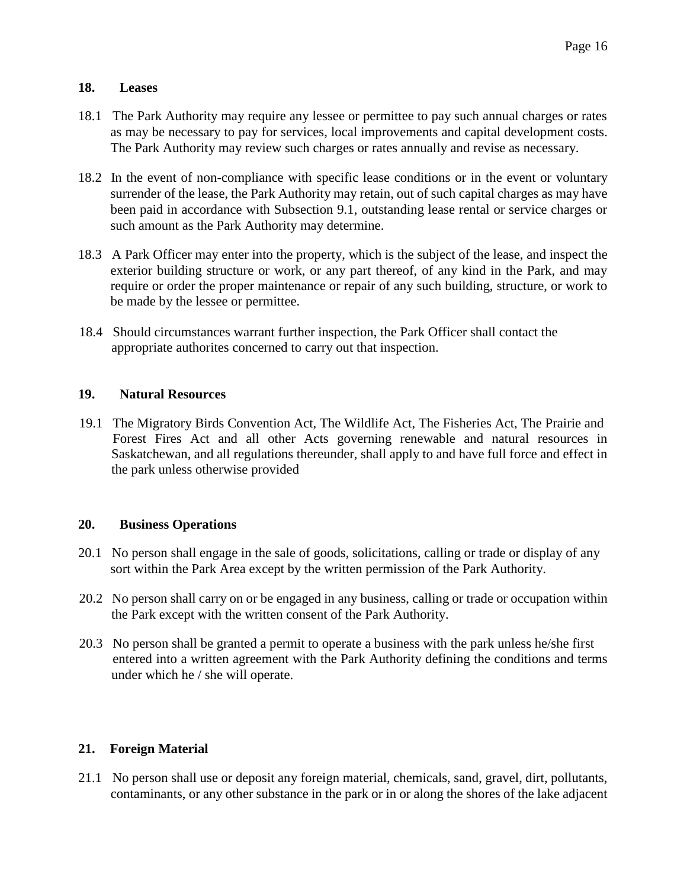### **18. Leases**

- 18.1 The Park Authority may require any lessee or permittee to pay such annual charges or rates as may be necessary to pay for services, local improvements and capital development costs. The Park Authority may review such charges or rates annually and revise as necessary.
- 18.2 In the event of non-compliance with specific lease conditions or in the event or voluntary surrender of the lease, the Park Authority may retain, out of such capital charges as may have been paid in accordance with Subsection 9.1, outstanding lease rental or service charges or such amount as the Park Authority may determine.
- 18.3 A Park Officer may enter into the property, which is the subject of the lease, and inspect the exterior building structure or work, or any part thereof, of any kind in the Park, and may require or order the proper maintenance or repair of any such building, structure, or work to be made by the lessee or permittee.
- 18.4 Should circumstances warrant further inspection, the Park Officer shall contact the appropriate authorites concerned to carry out that inspection.

# **19. Natural Resources**

19.1 The Migratory Birds Convention Act, The Wildlife Act, The Fisheries Act, The Prairie and Forest Fires Act and all other Acts governing renewable and natural resources in Saskatchewan, and all regulations thereunder, shall apply to and have full force and effect in the park unless otherwise provided

# **20. Business Operations**

- 20.1 No person shall engage in the sale of goods, solicitations, calling or trade or display of any sort within the Park Area except by the written permission of the Park Authority.
- 20.2 No person shall carry on or be engaged in any business, calling or trade or occupation within the Park except with the written consent of the Park Authority.
- 20.3 No person shall be granted a permit to operate a business with the park unless he/she first entered into a written agreement with the Park Authority defining the conditions and terms under which he / she will operate.

# **21. Foreign Material**

21.1 No person shall use or deposit any foreign material, chemicals, sand, gravel, dirt, pollutants, contaminants, or any other substance in the park or in or along the shores of the lake adjacent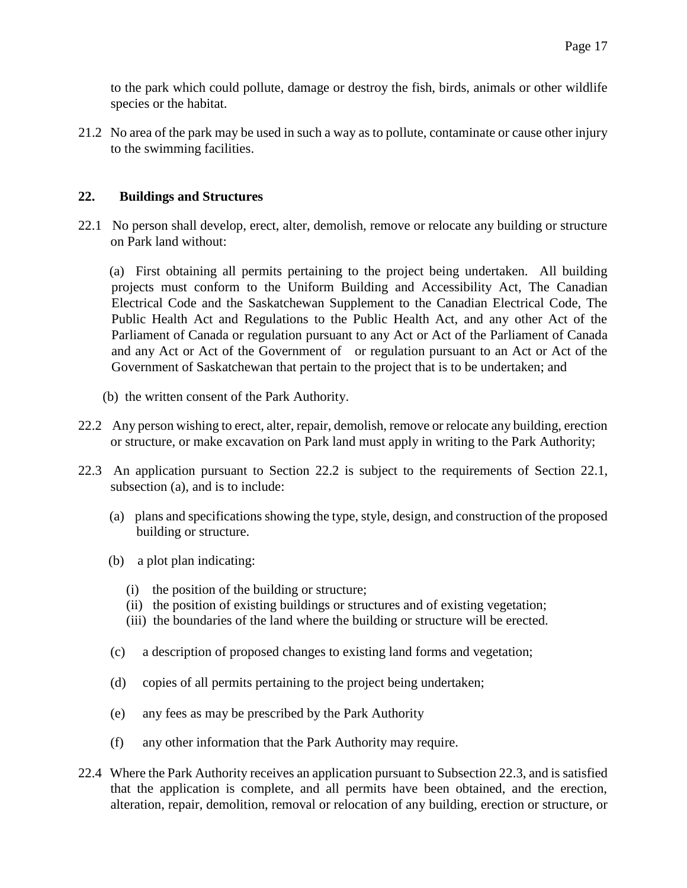to the park which could pollute, damage or destroy the fish, birds, animals or other wildlife species or the habitat.

21.2 No area of the park may be used in such a way as to pollute, contaminate or cause other injury to the swimming facilities.

### **22. Buildings and Structures**

22.1 No person shall develop, erect, alter, demolish, remove or relocate any building or structure on Park land without:

 (a) First obtaining all permits pertaining to the project being undertaken. All building projects must conform to the Uniform Building and Accessibility Act, The Canadian Electrical Code and the Saskatchewan Supplement to the Canadian Electrical Code, The Public Health Act and Regulations to the Public Health Act, and any other Act of the Parliament of Canada or regulation pursuant to any Act or Act of the Parliament of Canada and any Act or Act of the Government of or regulation pursuant to an Act or Act of the Government of Saskatchewan that pertain to the project that is to be undertaken; and

- (b) the written consent of the Park Authority.
- 22.2 Any person wishing to erect, alter, repair, demolish, remove or relocate any building, erection or structure, or make excavation on Park land must apply in writing to the Park Authority;
- 22.3 An application pursuant to Section 22.2 is subject to the requirements of Section 22.1, subsection (a), and is to include:
	- (a) plans and specifications showing the type, style, design, and construction of the proposed building or structure.
	- (b) a plot plan indicating:
		- (i) the position of the building or structure;
		- (ii) the position of existing buildings or structures and of existing vegetation;
		- (iii) the boundaries of the land where the building or structure will be erected.
	- (c) a description of proposed changes to existing land forms and vegetation;
	- (d) copies of all permits pertaining to the project being undertaken;
	- (e) any fees as may be prescribed by the Park Authority
	- (f) any other information that the Park Authority may require.
- 22.4 Where the Park Authority receives an application pursuant to Subsection 22.3, and is satisfied that the application is complete, and all permits have been obtained, and the erection, alteration, repair, demolition, removal or relocation of any building, erection or structure, or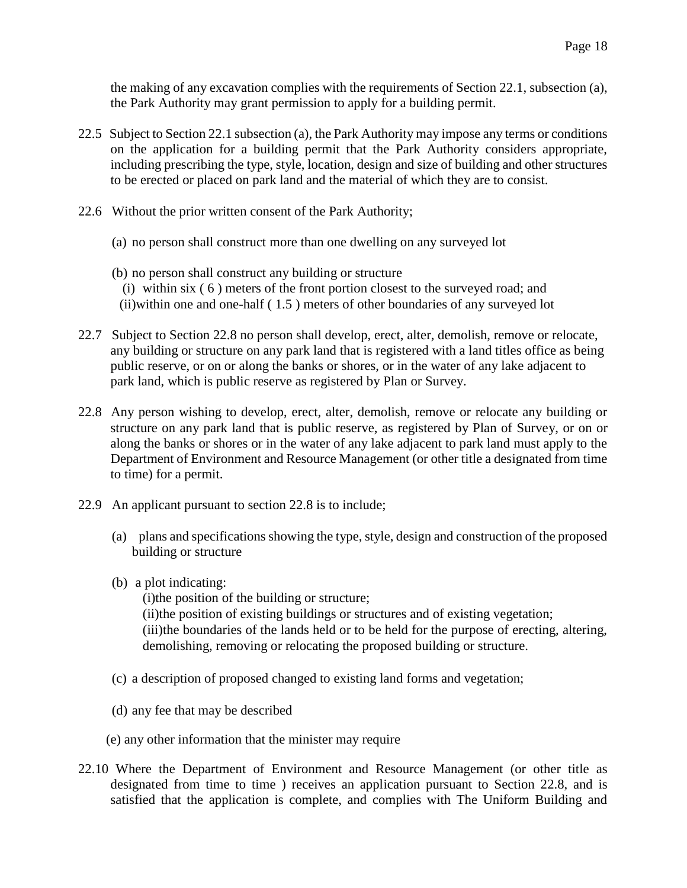the making of any excavation complies with the requirements of Section 22.1, subsection (a), the Park Authority may grant permission to apply for a building permit.

- 22.5 Subject to Section 22.1 subsection (a), the Park Authority may impose any terms or conditions on the application for a building permit that the Park Authority considers appropriate, including prescribing the type, style, location, design and size of building and other structures to be erected or placed on park land and the material of which they are to consist.
- 22.6 Without the prior written consent of the Park Authority;
	- (a) no person shall construct more than one dwelling on any surveyed lot
	- (b) no person shall construct any building or structure
		- (i) within six ( 6 ) meters of the front portion closest to the surveyed road; and
		- (ii)within one and one-half ( 1.5 ) meters of other boundaries of any surveyed lot
- 22.7 Subject to Section 22.8 no person shall develop, erect, alter, demolish, remove or relocate, any building or structure on any park land that is registered with a land titles office as being public reserve, or on or along the banks or shores, or in the water of any lake adjacent to park land, which is public reserve as registered by Plan or Survey.
- 22.8 Any person wishing to develop, erect, alter, demolish, remove or relocate any building or structure on any park land that is public reserve, as registered by Plan of Survey, or on or along the banks or shores or in the water of any lake adjacent to park land must apply to the Department of Environment and Resource Management (or other title a designated from time to time) for a permit.
- 22.9 An applicant pursuant to section 22.8 is to include;
	- (a) plans and specifications showing the type, style, design and construction of the proposed building or structure
	- (b) a plot indicating:

(i)the position of the building or structure; (ii)the position of existing buildings or structures and of existing vegetation; (iii)the boundaries of the lands held or to be held for the purpose of erecting, altering, demolishing, removing or relocating the proposed building or structure.

- (c) a description of proposed changed to existing land forms and vegetation;
- (d) any fee that may be described
- (e) any other information that the minister may require
- 22.10 Where the Department of Environment and Resource Management (or other title as designated from time to time ) receives an application pursuant to Section 22.8, and is satisfied that the application is complete, and complies with The Uniform Building and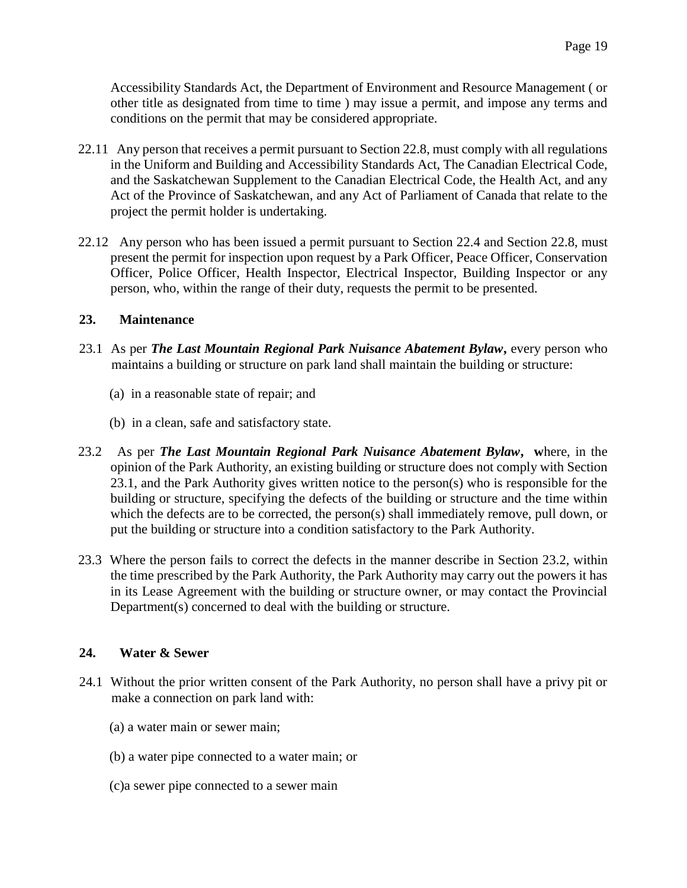Accessibility Standards Act, the Department of Environment and Resource Management ( or other title as designated from time to time ) may issue a permit, and impose any terms and conditions on the permit that may be considered appropriate.

- 22.11 Any person that receives a permit pursuant to Section 22.8, must comply with all regulations in the Uniform and Building and Accessibility Standards Act, The Canadian Electrical Code, and the Saskatchewan Supplement to the Canadian Electrical Code, the Health Act, and any Act of the Province of Saskatchewan, and any Act of Parliament of Canada that relate to the project the permit holder is undertaking.
- 22.12 Any person who has been issued a permit pursuant to Section 22.4 and Section 22.8, must present the permit for inspection upon request by a Park Officer, Peace Officer, Conservation Officer, Police Officer, Health Inspector, Electrical Inspector, Building Inspector or any person, who, within the range of their duty, requests the permit to be presented.

### **23. Maintenance**

- 23.1 As per *The Last Mountain Regional Park Nuisance Abatement Bylaw***,** every person who maintains a building or structure on park land shall maintain the building or structure:
	- (a) in a reasonable state of repair; and
	- (b) in a clean, safe and satisfactory state.
- 23.2 As per *The Last Mountain Regional Park Nuisance Abatement Bylaw***, w**here, in the opinion of the Park Authority, an existing building or structure does not comply with Section 23.1, and the Park Authority gives written notice to the person(s) who is responsible for the building or structure, specifying the defects of the building or structure and the time within which the defects are to be corrected, the person(s) shall immediately remove, pull down, or put the building or structure into a condition satisfactory to the Park Authority.
- 23.3 Where the person fails to correct the defects in the manner describe in Section 23.2, within the time prescribed by the Park Authority, the Park Authority may carry out the powers it has in its Lease Agreement with the building or structure owner, or may contact the Provincial Department(s) concerned to deal with the building or structure.

# **24. Water & Sewer**

- 24.1 Without the prior written consent of the Park Authority, no person shall have a privy pit or make a connection on park land with:
	- (a) a water main or sewer main;
	- (b) a water pipe connected to a water main; or
	- (c)a sewer pipe connected to a sewer main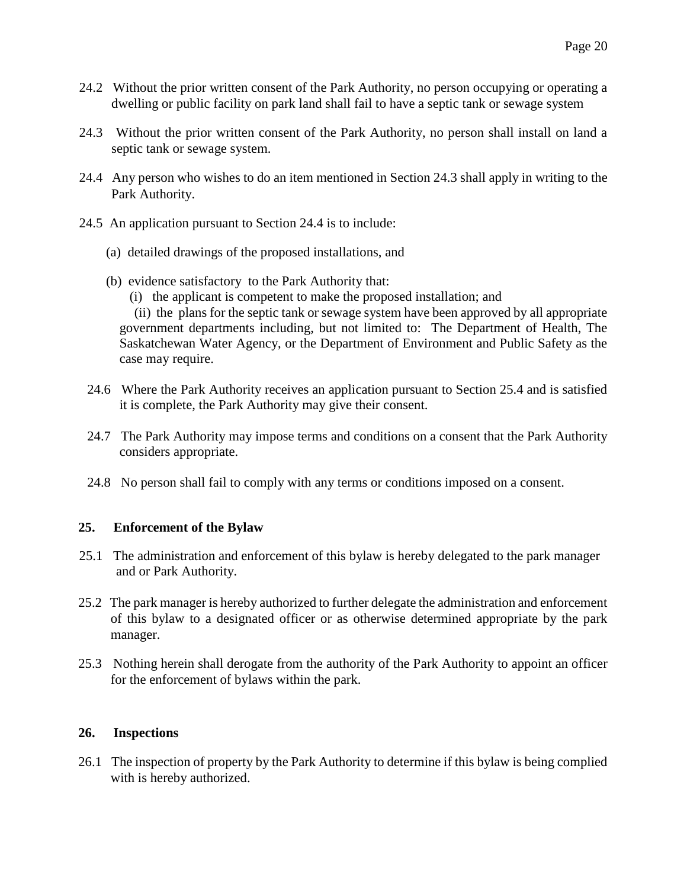- 24.2 Without the prior written consent of the Park Authority, no person occupying or operating a dwelling or public facility on park land shall fail to have a septic tank or sewage system
- 24.3 Without the prior written consent of the Park Authority, no person shall install on land a septic tank or sewage system.
- 24.4 Any person who wishes to do an item mentioned in Section 24.3 shall apply in writing to the Park Authority.
- 24.5 An application pursuant to Section 24.4 is to include:
	- (a) detailed drawings of the proposed installations, and
	- (b) evidence satisfactory to the Park Authority that:
		- (i) the applicant is competent to make the proposed installation; and

 (ii) the plans for the septic tank or sewage system have been approved by all appropriate government departments including, but not limited to: The Department of Health, The Saskatchewan Water Agency, or the Department of Environment and Public Safety as the case may require.

- 24.6 Where the Park Authority receives an application pursuant to Section 25.4 and is satisfied it is complete, the Park Authority may give their consent.
- 24.7 The Park Authority may impose terms and conditions on a consent that the Park Authority considers appropriate.
- 24.8 No person shall fail to comply with any terms or conditions imposed on a consent.

# **25. Enforcement of the Bylaw**

- 25.1 The administration and enforcement of this bylaw is hereby delegated to the park manager and or Park Authority.
- 25.2 The park manager is hereby authorized to further delegate the administration and enforcement of this bylaw to a designated officer or as otherwise determined appropriate by the park manager.
- 25.3 Nothing herein shall derogate from the authority of the Park Authority to appoint an officer for the enforcement of bylaws within the park.

#### **26. Inspections**

26.1 The inspection of property by the Park Authority to determine if this bylaw is being complied with is hereby authorized.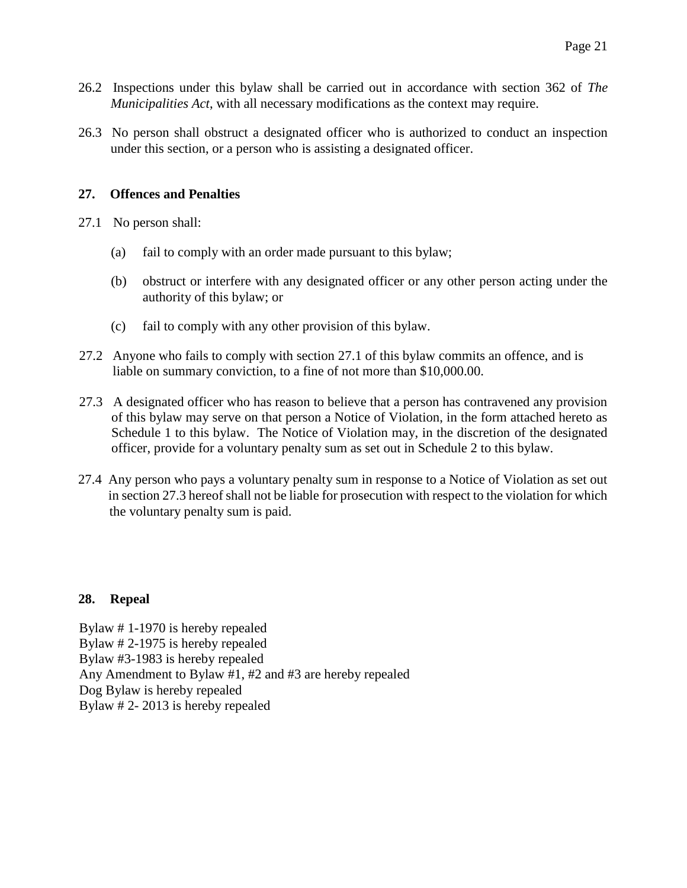- 26.2 Inspections under this bylaw shall be carried out in accordance with section 362 of *The Municipalities Act*, with all necessary modifications as the context may require.
- 26.3 No person shall obstruct a designated officer who is authorized to conduct an inspection under this section, or a person who is assisting a designated officer.

### **27. Offences and Penalties**

- 27.1 No person shall:
	- (a) fail to comply with an order made pursuant to this bylaw;
	- (b) obstruct or interfere with any designated officer or any other person acting under the authority of this bylaw; or
	- (c) fail to comply with any other provision of this bylaw.
- 27.2 Anyone who fails to comply with section 27.1 of this bylaw commits an offence, and is liable on summary conviction, to a fine of not more than \$10,000.00.
- 27.3 A designated officer who has reason to believe that a person has contravened any provision of this bylaw may serve on that person a Notice of Violation, in the form attached hereto as Schedule 1 to this bylaw. The Notice of Violation may, in the discretion of the designated officer, provide for a voluntary penalty sum as set out in Schedule 2 to this bylaw.
- 27.4 Any person who pays a voluntary penalty sum in response to a Notice of Violation as set out in section 27.3 hereof shall not be liable for prosecution with respect to the violation for which the voluntary penalty sum is paid.

# **28. Repeal**

Bylaw # 1-1970 is hereby repealed Bylaw # 2-1975 is hereby repealed Bylaw #3-1983 is hereby repealed Any Amendment to Bylaw #1, #2 and #3 are hereby repealed Dog Bylaw is hereby repealed Bylaw # 2- 2013 is hereby repealed